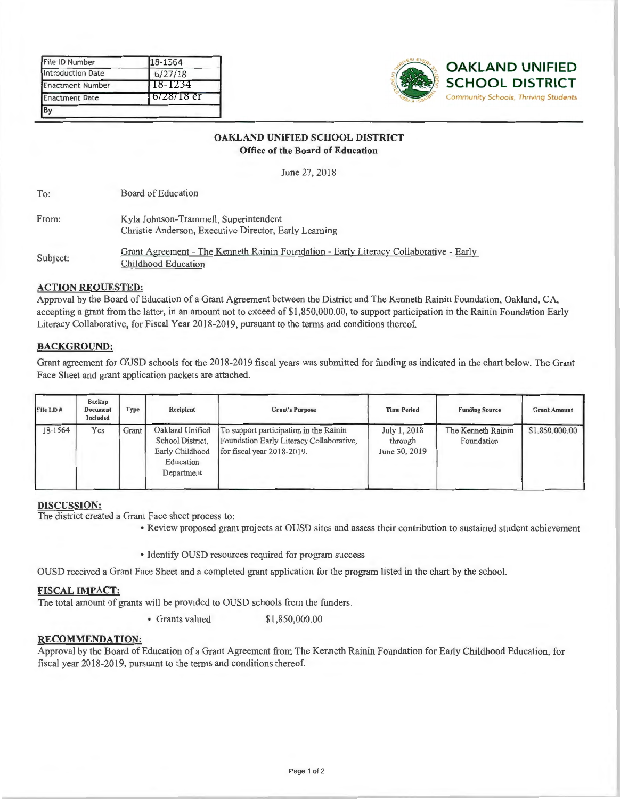| File ID Number          | 18-1564     |
|-------------------------|-------------|
| Introduction Date       | 6/27/18     |
| <b>Enactment Number</b> | 118-1234    |
| <b>Enactment Date</b>   | 16/28/18 er |
|                         |             |



#### **OAKLAND UNIFIED SCHOOL DISTRICT Office of the Board of Education**

June 27, 2018

To: Board of Education

| From: | Kyla Johnson-Trammell, Superintendent                 |  |  |
|-------|-------------------------------------------------------|--|--|
|       | Christie Anderson, Executive Director, Early Learning |  |  |

Subject: Grant Agreement - The Kenneth Rainin Foundation - Early Literacy Collaborative - Early Childhood Education

#### **ACTION REQUESTED:**

Approval by the Board of Education of a Grant Agreement between the District and The Kenneth Rainin Foundation, Oakland, CA, accepting a grant from the latter, in an amount not to exceed of \$1,850,000.00, to support participation in the Rainin Foundation Early Literacy Collaborative, for Fiscal Year 2018-2019, pursuant to the terms and conditions thereof.

### **BACKGROUND:**

Grant agreement for OUSD schools for the 2018-2019 fiscal years was submitted for funding as indicated in the chart below. The Grant Face Sheet and grant application packets are attached.

| File I.D. # | <b>Backup</b><br><b>Document</b><br>Included | Type  | Recipient                                                                         | <b>Grant's Purpose</b>                                                                                           | <b>Time Period</b>                       | <b>Funding Source</b>            | <b>Grant Amount</b> |
|-------------|----------------------------------------------|-------|-----------------------------------------------------------------------------------|------------------------------------------------------------------------------------------------------------------|------------------------------------------|----------------------------------|---------------------|
| 18-1564     | Yes                                          | Grant | Oakland Unified<br>School District,<br>Early Childhood<br>Education<br>Department | To support participation in the Rainin<br>Foundation Early Literacy Collaborative,<br>for fiscal year 2018-2019. | July 1, 2018<br>through<br>June 30, 2019 | The Kenneth Rainin<br>Foundation | \$1,850,000.00      |

#### **DISCUSSION:**

The district created a Grant Face sheet process to:

• Review proposed grant projects at OUSD sites and assess their contribution to sustained student achievement

• Identify OUSD resources required for program success

OUSD received a Grant Face Sheet and a completed grant application for the program listed in the chart by the school.

#### **FISCAL IMPACT:**

The total amount of grants will be provided to OUSD schools from the funders.

• Grants valued \$1,850,000.00

#### **RECOMMENDATION:**

Approval by the Board of Education of a Grant Agreement from The Kenneth Rainin Foundation for Early Childhood Education, for fiscal year 2018-2019, pursuant to the terms and conditions thereof.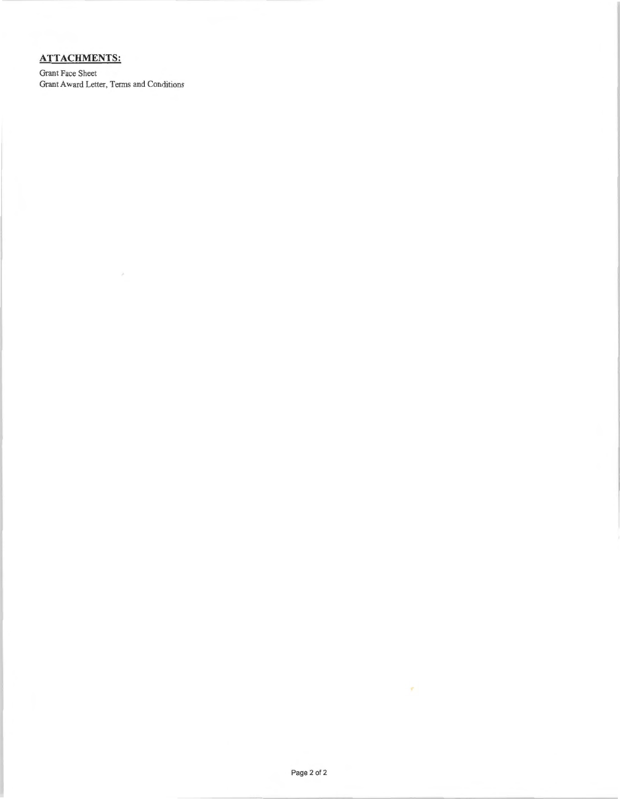## **ATTACHMENTS:**

Grant Face Sheet Grant Award Letter, Terms and Conditions

 $\bar{\varphi}$ 

¥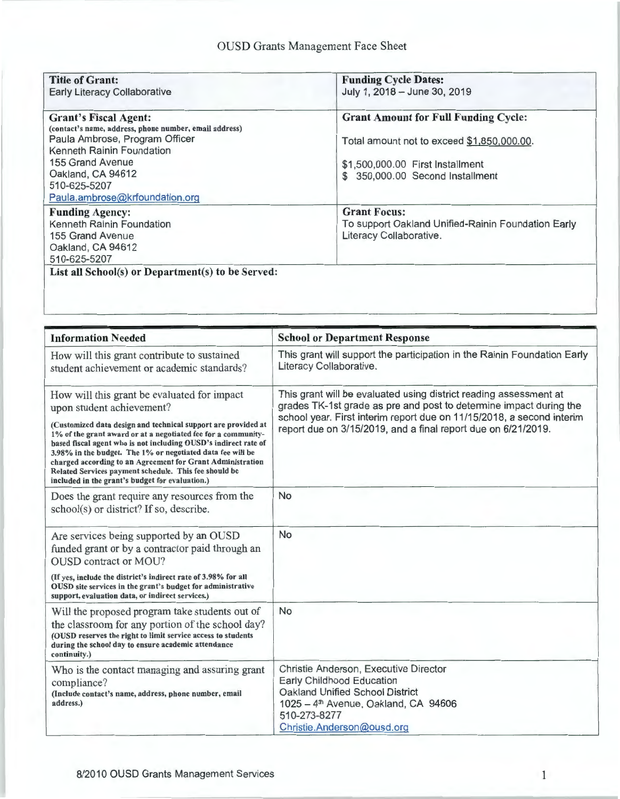| <b>Title of Grant:</b><br><b>Early Literacy Collaborative</b>                          | <b>Funding Cycle Dates:</b><br>July 1, 2018 - June 30, 2019 |
|----------------------------------------------------------------------------------------|-------------------------------------------------------------|
|                                                                                        |                                                             |
| <b>Grant's Fiscal Agent:</b><br>(contact's name, address, phone number, email address) | <b>Grant Amount for Full Funding Cycle:</b>                 |
| Paula Ambrose, Program Officer                                                         | Total amount not to exceed \$1,850,000.00.                  |
| Kenneth Rainin Foundation                                                              |                                                             |
| 155 Grand Avenue                                                                       | \$1,500,000.00 First Installment                            |
| Oakland, CA 94612                                                                      | 350,000.00 Second Installment<br>$\mathcal{S}$              |
| 510-625-5207                                                                           |                                                             |
| Paula.ambrose@krfoundation.org                                                         |                                                             |
| <b>Funding Agency:</b>                                                                 | <b>Grant Focus:</b>                                         |
| Kenneth Rainin Foundation                                                              | To support Oakland Unified-Rainin Foundation Early          |
| 155 Grand Avenue                                                                       | Literacy Collaborative.                                     |
| Oakland, CA 94612                                                                      |                                                             |
| 510-625-5207                                                                           |                                                             |
| List all School(s) or Department(s) to be Served:                                      |                                                             |
|                                                                                        |                                                             |
|                                                                                        |                                                             |

| <b>Information Needed</b>                                                                                                                                                                                                                                                                                                                                                                                                                                                                                             | <b>School or Department Response</b>                                                                                                                                                                                                                                              |
|-----------------------------------------------------------------------------------------------------------------------------------------------------------------------------------------------------------------------------------------------------------------------------------------------------------------------------------------------------------------------------------------------------------------------------------------------------------------------------------------------------------------------|-----------------------------------------------------------------------------------------------------------------------------------------------------------------------------------------------------------------------------------------------------------------------------------|
| How will this grant contribute to sustained<br>student achievement or academic standards?                                                                                                                                                                                                                                                                                                                                                                                                                             | This grant will support the participation in the Rainin Foundation Early<br>Literacy Collaborative.                                                                                                                                                                               |
| How will this grant be evaluated for impact<br>upon student achievement?<br>(Customized data design and technical support are provided at<br>1% of the grant award or at a negotiated fee for a community-<br>based fiscal agent who is not including OUSD's indirect rate of<br>3.98% in the budget. The 1% or negotiated data fee will be<br>charged according to an Agreement for Grant Administration<br>Related Services payment schedule. This fee should be<br>included in the grant's budget for evaluation.) | This grant will be evaluated using district reading assessment at<br>grades TK-1st grade as pre and post to determine impact during the<br>school year. First interim report due on 11/15/2018, a second interim<br>report due on 3/15/2019, and a final report due on 6/21/2019. |
| Does the grant require any resources from the<br>school(s) or district? If so, describe.                                                                                                                                                                                                                                                                                                                                                                                                                              | <b>No</b>                                                                                                                                                                                                                                                                         |
| Are services being supported by an OUSD<br>funded grant or by a contractor paid through an<br><b>OUSD</b> contract or MOU?<br>(If yes, include the district's indirect rate of 3.98% for all<br>OUSD site services in the grant's budget for administrative<br>support, evaluation data, or indirect services.)                                                                                                                                                                                                       | No                                                                                                                                                                                                                                                                                |
| Will the proposed program take students out of<br>the classroom for any portion of the school day?<br>(OUSD reserves the right to limit service access to students<br>during the school day to ensure academic attendance<br>continuity.)                                                                                                                                                                                                                                                                             | No                                                                                                                                                                                                                                                                                |
| Who is the contact managing and assuring grant<br>compliance?<br>(Include contact's name, address, phone number, email<br>address.)                                                                                                                                                                                                                                                                                                                                                                                   | Christie Anderson, Executive Director<br>Early Childhood Education<br>Oakland Unified School District<br>1025 - 4 <sup>th</sup> Avenue, Oakland, CA 94606<br>510-273-8277<br>Christie.Anderson@ousd.org                                                                           |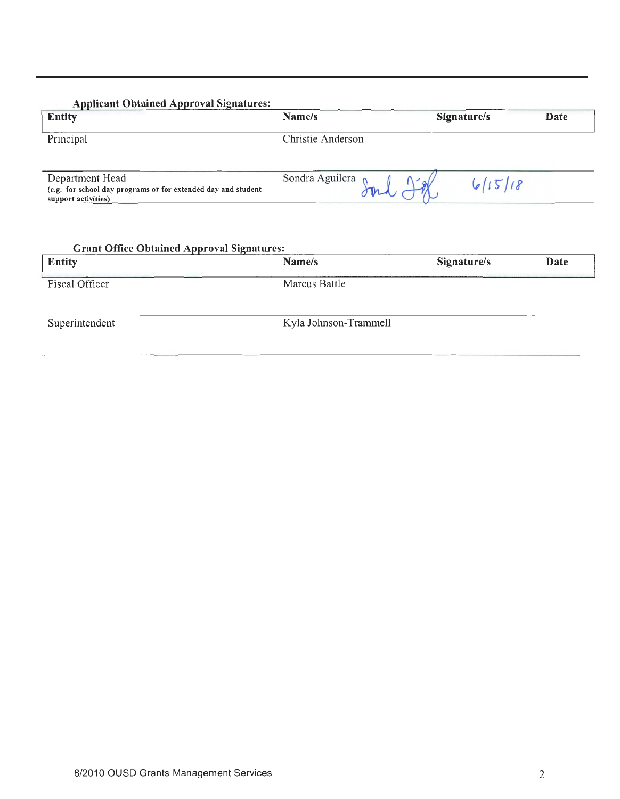| Name/s            | Signature/s | Date |
|-------------------|-------------|------|
| Christie Anderson |             |      |
| Sondra Aguilera   | 615118      |      |
|                   |             |      |

| <b>Entity</b>  | Name/s                | Signature/s | Date |
|----------------|-----------------------|-------------|------|
| Fiscal Officer | Marcus Battle         |             |      |
| Superintendent | Kyla Johnson-Trammell |             |      |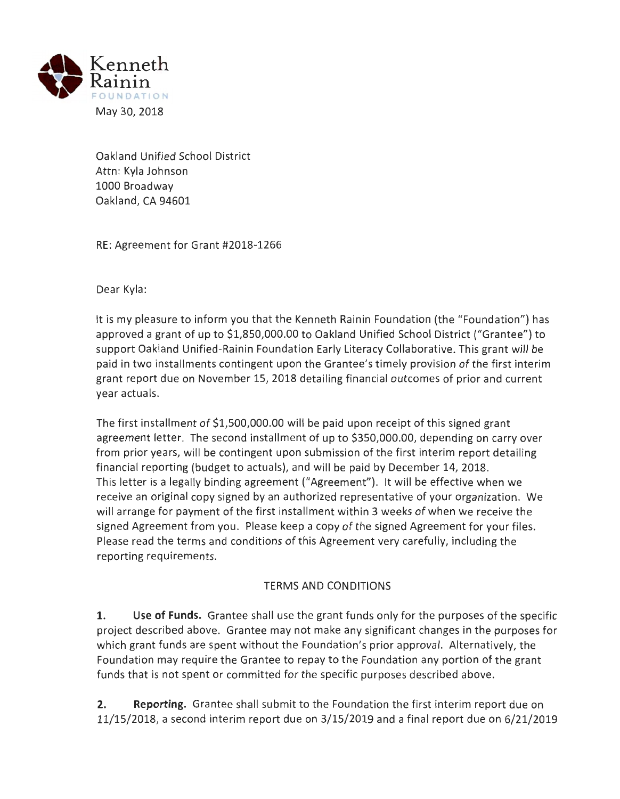

Oakland Unified School District Attn: Kyla Johnson 1000 Broadway Oakland, CA 94601

RE: Agreement for Grant #2018-1266

Dear Kyla:

It is my pleasure to inform you that the Kenneth Rainin Foundation (the "Foundation") has approved a grant of up to \$1,850,000.00 to Oakland Unified School District ("Grantee") to support Oakland Unified-Rainin Foundation Early Literacy Collaborative. This grant will be paid in two installments contingent upon the Grantee's timely provision of the first interim grant report due on November 15, 2018 detailing financial outcomes of prior and current year actuals.

The first installment of \$1,500,000.00 will be paid upon receipt of this signed grant agreement letter. The second installment of up to \$350,000.00, depending on carry over from prior years, will be contingent upon submission of the first interim report detailing financial reporting (budget to actuals), and will be paid by December 14, 2018. This letter is a legally binding agreement ("Agreement"). It will be effective when we receive an original copy signed by an authorized representative of your organization. We will arrange for payment of the first installment within 3 weeks of when we receive the signed Agreement from you. Please keep a copy of the signed Agreement for your files. Please read the terms and conditions of this Agreement very carefully, including the reporting requirements.

# TERMS AND CONDITIONS

**1. Use of Funds.** Grantee shall use the grant funds only for the purposes of the specific project described above. Grantee may not make any significant changes in the purposes for which grant funds are spent without the Foundation's prior approval. Alternatively, the Foundation may require the Grantee to repay to the Foundation any portion of the grant funds that is not spent or committed for the specific purposes described above.

**2. Reporting.** Grantee shall submit to the Foundation the first interim report due on 11/15/2018, a second interim report due on 3/15/2019 and a final report due on 6/21/2019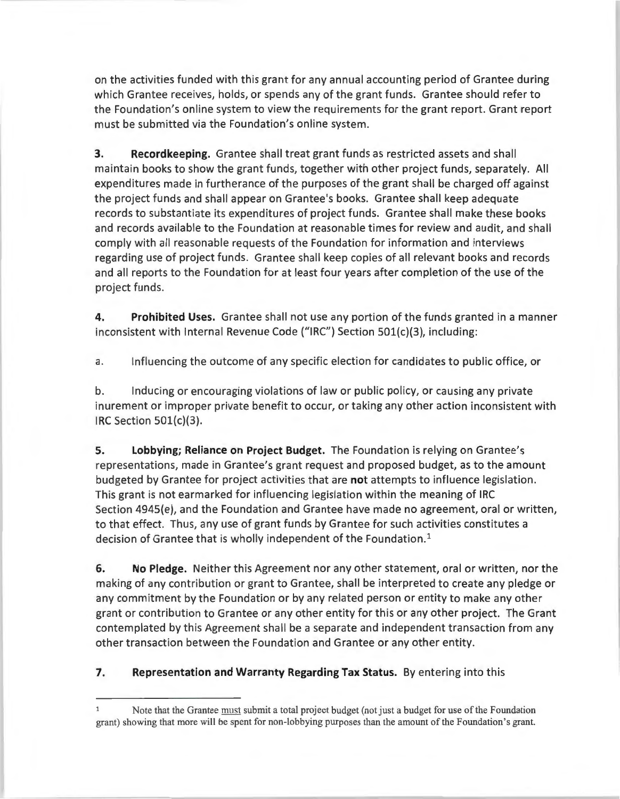on the activities funded with this grant for any annual accounting period of Grantee during which Grantee receives, holds, or spends any of the grant funds. Grantee should refer to the Foundation's online system to view the requirements for the grant report. Grant report must be submitted via the Foundation's online system.

**3. Recordkeeping.** Grantee shall treat grant funds as restricted assets and shall maintain books to show the grant funds, together with other project funds, separately. All expenditures made in furtherance of the purposes of the grant shall be charged off against the project funds and shall appear on Grantee's books. Grantee shall keep adequate records to substantiate its expenditures of project funds. Grantee shall make these books and records available to the Foundation at reasonable times for review and audit, and shall comply with all reasonable requests of the Foundation for information and interviews regarding use of project funds. Grantee shall keep copies of all relevant books and records and all reports to the Foundation for at least four years after completion of the use of the project funds.

**4. Prohibited Uses.** Grantee shall not use any portion of the funds granted in a manner inconsistent with Internal Revenue Code ("IRC") Section 501(c)(3), including:

a. Influencing the outcome of any specific election for candidates to public office, or

b. Inducing or encouraging violations of law or public policy, or causing any private inurement or improper private benefit to occur, or taking any other action inconsistent with IRC Section 501{c)(3).

**5. Lobbying; Reliance on Project Budget.** The Foundation is relying on Grantee's representations, made in Grantee's grant request and proposed budget, as to the amount budgeted by Grantee for project activities that are **not** attempts to influence legislation. This grant is not earmarked for influencing legislation within the meaning of IRC Section 4945(e), and the Foundation and Grantee have made no agreement, oral or written, to that effect. Thus, any use of grant funds by Grantee for such activities constitutes a decision of Grantee that is wholly independent of the Foundation. 1

**6. No Pledge.** Neither this Agreement nor any other statement, oral or written, nor the making of any contribution or grant to Grantee, shall be interpreted to create any pledge or any commitment by the Foundation or by any related person or entity to make any other grant or contribution to Grantee or any other entity for this or any other project. The Grant contemplated by this Agreement shall be a separate and independent transaction from any other transaction between the Foundation and Grantee or any other entity.

### **7. Representation and Warranty Regarding Tax Status.** By entering into this

 $\mathbf{1}$ Note that the Grantee must submit a total project budget (not just a budget for use of the Foundation grant) showing that more will be spent for non-lobbying purposes than the amount of the Foundation's grant.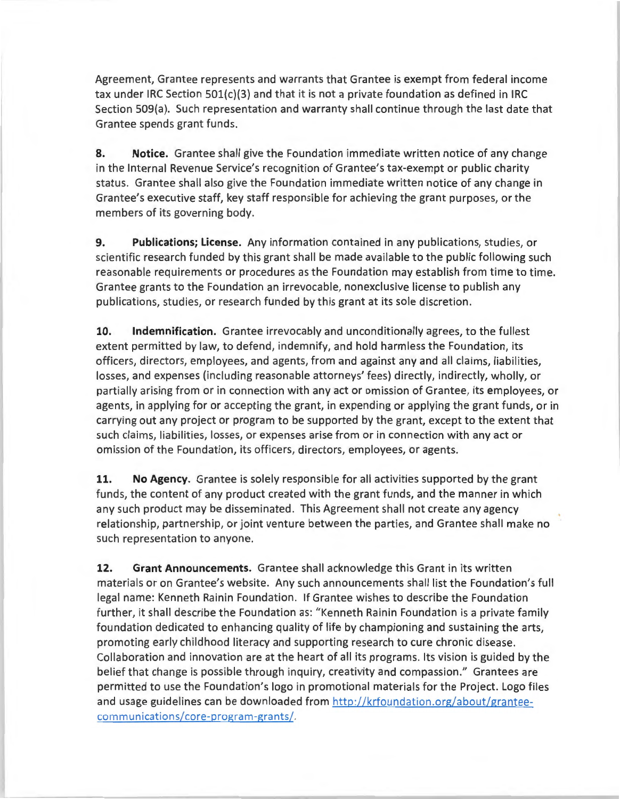Agreement, Grantee represents and warrants that Grantee is exempt from federal income tax under IRC Section 501{c}(3} and that it is not a private foundation as defined in IRC Section 509{a). Such representation and warranty shall continue through the last date that Grantee spends grant funds.

**8. Notice.** Grantee shall give the Foundation immediate written notice of any change in the Internal Revenue Service's recognition of Grantee's tax-exempt or public charity status. Grantee shall also give the Foundation immediate written notice of any change in Grantee's executive staff, key staff responsible for achieving the grant purposes, or the members of its governing body.

**9. Publications; License.** Any information contained in any publications, studies, or scientific research funded by this grant shall be made available to the public following such reasonable requirements or procedures as the Foundation may establish from time to time. Grantee grants to the Foundation an irrevocable, nonexclusive license to publish any publications, studies, or research funded by this grant at its sole discretion.

**10. Indemnification.** Grantee irrevocably and unconditionally agrees, to the fullest extent permitted by law, to defend, indemnify, and hold harmless the Foundation, its officers, directors, employees, and agents, from and against any and all claims, liabilities, losses, and expenses (including reasonable attorneys' fees) directly, indirectly, wholly, or partially arising from or in connection with any act or omission of Grantee, its employees, or agents, in applying for or accepting the grant, in expending or applying the grant funds, or in carrying out any project or program to be supported by the grant, except to the extent that such claims, liabilities, losses, or expenses arise from or in connection with any act or omission of the Foundation, its officers, directors, employees, or agents.

**11. No Agency.** Grantee is solely responsible for all activities supported by the grant funds, the content of any product created with the grant funds, and the manner in which any such product may be disseminated. This Agreement shall not create any agency relationship, partnership, or joint venture between the parties, and Grantee shall make no such representation to anyone.

**12. Grant Announcements.** Grantee shall acknowledge this Grant in its written materials or on Grantee's website. Any such announcements shall list the Foundation's full legal name: Kenneth Rainin Foundation. If Grantee wishes to describe the Foundation further, it shall describe the Foundation as: "Kenneth Rainin Foundation is a private family foundation dedicated to enhancing quality of life by championing and sustaining the arts, promoting early childhood literacy and supporting research to cure chronic disease. Collaboration and innovation are at the heart of all its programs. Its vision is guided by the belief that change is possible through inquiry, creativity and compassion." Grantees are permitted to use the Foundation's logo in promotional materials for the Project. Logo files and usage guidelines can be downloaded from http://krfoundation.org/about/granteecommunications/core-program-grants/.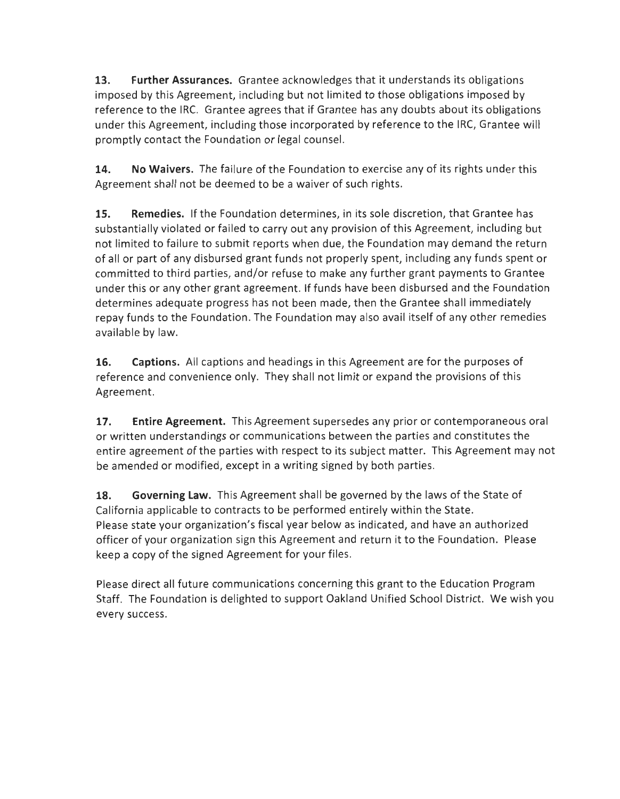**13. Further Assurances.** Grantee acknowledges that it understands its obligations imposed by this Agreement, including but not limited to those obligations imposed by reference to the IRC. Grantee agrees that if Grantee has any doubts about its obligations under this Agreement, including those incorporated by reference to the IRC, Grantee will promptly contact the Foundation or legal counsel.

**14. No Waivers.** The failure of the Foundation to exercise any of its rights under this Agreement shall not be deemed to be a waiver of such rights.

**15. Remedies.** If the Foundation determines, in its sole discretion, that Grantee has substantially violated or failed to carry out any provision of this Agreement, including but not limited to failure to submit reports when due, the Foundation may demand the return of all or part of any disbursed grant funds not properly spent, including any funds spent or committed to third parties, and/or refuse to make any further grant payments to Grantee under this or any other grant agreement. If funds have been disbursed and the Foundation determines adequate progress has not been made, then the Grantee shall immediately repay funds to the Foundation. The Foundation may also avail itself of any other remedies available by law.

**16. Captions.** All captions and headings in this Agreement are for the purposes of reference and convenience only. They shall not limit or expand the provisions of this Agreement.

**17. Entire Agreement.** This Agreement supersedes any prior or contemporaneous oral or written understandings or communications between the parties and constitutes the entire agreement of the parties with respect to its subject matter. This Agreement may not be amended or modified, except in a writing signed by both parties.

**18. Governing Law.** This Agreement shall be governed by the laws of the State of California applicable to contracts to be performed entirely within the State. Please state your organization's fiscal year below as indicated, and have an authorized officer of your organization sign this Agreement and return it to the Foundation. Please keep a copy of the signed Agreement for your files.

Please direct all future communications concerning this grant to the Education Program Staff. The Foundation is delighted to support Oakland Unified School District. We wish you every success.